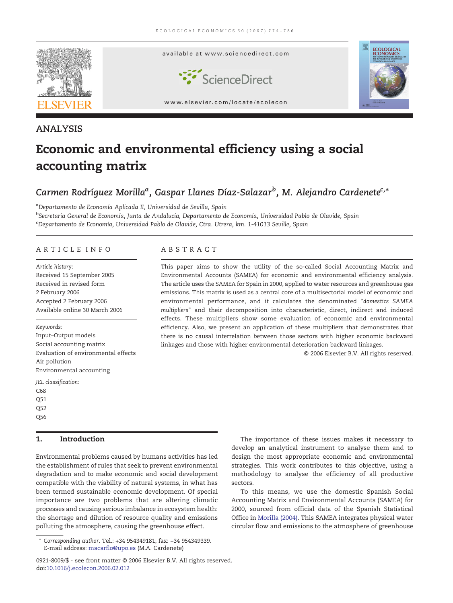

### ANALYSIS

# Economic and environmental efficiency using a social accounting matrix

## Carmen Rodríguez Morillaª, Gaspar Llanes Díaz-Salazar<sup>b</sup>, M. Alejandro Cardenete<sup>c,</sup>\*

aDepartamento de Economía Aplicada II, Universidad de Sevilla, Spain <sup>b</sup>Secretaría General de Economía, Junta de Andalucía, Departamento de Economía, Universidad Pablo de Olavide, Spain <sup>c</sup>Departamento de Economía, Universidad Pablo de Olavide, Ctra. Utrera, km. 1-41013 Seville, Spain

#### ARTICLE INFO ABSTRACT

Article history: Received 15 September 2005 Received in revised form 2 February 2006 Accepted 2 February 2006 Available online 30 March 2006

Keywords:

Input–Output models Social accounting matrix Evaluation of environmental effects Air pollution Environmental accounting

JEL classification:

C68 Q51 Q52 Q56

#### 1. Introduction

Environmental problems caused by humans activities has led the establishment of rules that seek to prevent environmental degradation and to make economic and social development compatible with the viability of natural systems, in what has been termed sustainable economic development. Of special importance are two problems that are altering climatic processes and causing serious imbalance in ecosystem health: the shortage and dilution of resource quality and emissions polluting the atmosphere, causing the greenhouse effect.

This paper aims to show the utility of the so-called Social Accounting Matrix and Environmental Accounts (SAMEA) for economic and environmental efficiency analysis. The article uses the SAMEA for Spain in 2000, applied to water resources and greenhouse gas emissions. This matrix is used as a central core of a multisectorial model of economic and environmental performance, and it calculates the denominated "domestics SAMEA multipliers" and their decomposition into characteristic, direct, indirect and induced effects. These multipliers show some evaluation of economic and environmental efficiency. Also, we present an application of these multipliers that demonstrates that there is no causal interrelation between those sectors with higher economic backward linkages and those with higher environmental deterioration backward linkages.

© 2006 Elsevier B.V. All rights reserved.

The importance of these issues makes it necessary to develop an analytical instrument to analyse them and to design the most appropriate economic and environmental strategies. This work contributes to this objective, using a methodology to analyse the efficiency of all productive sectors.

To this means, we use the domestic Spanish Social Accounting Matrix and Environmental Accounts (SAMEA) for 2000, sourced from official data of the Spanish Statistical Office in [Morilla \(2004\)](#page--1-0). This SAMEA integrates physical water circular flow and emissions to the atmosphere of greenhouse

<sup>⁎</sup> Corresponding author. Tel.: +34 954349181; fax: +34 954349339. E-mail address: [macarflo@upo.es](mailto:macarflo@upo.es) (M.A. Cardenete)

<sup>0921-8009/\$ -</sup> see front matter © 2006 Elsevier B.V. All rights reserved. [doi:10.1016/j.ecolecon.2006.02.012](http://dx.doi.org/10.1016/j.ecolecon.2006.02.012)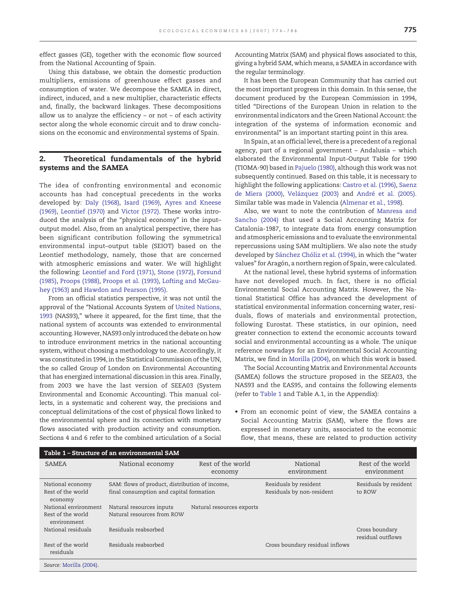effect gasses (GE), together with the economic flow sourced from the National Accounting of Spain.

Using this database, we obtain the domestic production multipliers, emissions of greenhouse effect gasses and consumption of water. We decompose the SAMEA in direct, indirect, induced, and a new multiplier, characteristic effects and, finally, the backward linkages. These decompositions allow us to analyze the efficiency – or not – of each activity sector along the whole economic circuit and to draw conclusions on the economic and environmental systems of Spain.

#### 2. Theoretical fundamentals of the hybrid systems and the SAMEA

The idea of confronting environmental and economic accounts has had conceptual precedents in the works developed by: [Daly \(1968\),](#page--1-0) [Isard \(1969\)](#page--1-0), [Ayres and Kneese](#page--1-0) [\(1969\)](#page--1-0), [Leontief \(1970\)](#page--1-0) and [Victor \(1972\)](#page--1-0). These works introduced the analysis of the "physical economy" in the input– output model. Also, from an analytical perspective, there has been significant contribution following the symmetrical environmental input–output table (SEIOT) based on the Leontief methodology, namely, those that are concerned with atmospheric emissions and water. We will highlight the following: [Leontief and Ford \(1971\)](#page--1-0), [Stone \(1972\)](#page--1-0), [Forsund](#page--1-0) [\(1985\)](#page--1-0), [Proops \(1988\),](#page--1-0) [Proops et al. \(1993\),](#page--1-0) [Lofting and McGau](#page--1-0)[hey \(1963\)](#page--1-0) and [Hawdon and Pearson \(1995\)](#page--1-0).

From an official statistics perspective, it was not until the approval of the "National Accounts System of [United Nations,](#page--1-0) [1993](#page--1-0) (NAS93)," where it appeared, for the first time, that the national system of accounts was extended to environmental accounting. However, NAS93 only introduced the debate on how to introduce environment metrics in the national accounting system, without choosing a methodology to use. Accordingly, it was constituted in 1994, in the Statistical Commission of the UN, the so called Group of London on Environmental Accounting that has energized international discussion in this area. Finally, from 2003 we have the last version of SEEA03 (System Environmental and Economic Accounting). This manual collects, in a systematic and coherent way, the precisions and conceptual delimitations of the cost of physical flows linked to the environmental sphere and its connection with monetary flows associated with production activity and consumption. Sections 4 and 6 refer to the combined articulation of a Social Accounting Matrix (SAM) and physical flows associated to this, giving a hybrid SAM, which means, a SAMEA in accordance with the regular terminology.

It has been the European Community that has carried out the most important progress in this domain. In this sense, the document produced by the European Commission in 1994, titled "Directions of the European Union in relation to the environmental indicators and the Green National Account: the integration of the systems of information economic and environmental" is an important starting point in this area.

In Spain, at an official level, there is a precedent of a regional agency, part of a regional government – Andalusia – which elaborated the Environmental Input–Output Table for 1990 (TIOMA-90) based in [Pajuelo \(1980\)](#page--1-0), although this work was not subsequently continued. Based on this table, it is necessary to highlight the following applications: [Castro et al. \(1996\),](#page--1-0) [Saenz](#page--1-0) [de Miera \(2000\),](#page--1-0) [Velázquez \(2003\)](#page--1-0) and [André et al. \(2005\).](#page--1-0) Similar table was made in Valencia ([Almenar et al., 1998\)](#page--1-0).

Also, we want to note the contribution of [Manresa and](#page--1-0) [Sancho \(2004\)](#page--1-0) that used a Social Accounting Matrix for Catalonia-1987, to integrate data from energy consumption and atmospheric emissions and to evaluate the environmental repercussions using SAM multipliers. We also note the study developed by [Sánchez Chóliz et al. \(1994\)](#page--1-0), in which the "water values" for Aragón, a northern region of Spain, were calculated.

At the national level, these hybrid systems of information have not developed much. In fact, there is no official Environmental Social Accounting Matrix. However, the National Statistical Office has advanced the development of statistical environmental information concerning water, residuals, flows of materials and environmental protection, following Eurostat. These statistics, in our opinion, need greater connection to extend the economic accounts toward social and environmental accounting as a whole. The unique reference nowadays for an Environmental Social Accounting Matrix, we find in [Morilla \(2004\)](#page--1-0), on which this work is based.

The Social Accounting Matrix and Environmental Accounts (SAMEA) follows the structure proposed in the SEEA03, the NAS93 and the EAS95, and contains the following elements (refer to Table 1 and Table A.1, in the Appendix):

• From an economic point of view, the SAMEA contains a Social Accounting Matrix (SAM), where the flows are expressed in monetary units, associated to the economic flow, that means, these are related to production activity

| Table 1 – Structure of an environmental SAM              |                                                                                           |                              |                                                    |                                     |  |
|----------------------------------------------------------|-------------------------------------------------------------------------------------------|------------------------------|----------------------------------------------------|-------------------------------------|--|
| <b>SAMEA</b>                                             | National economy                                                                          | Rest of the world<br>economy | National<br>environment                            | Rest of the world<br>environment    |  |
| National economy<br>Rest of the world<br>economy         | SAM: flows of product, distribution of income,<br>final consumption and capital formation |                              | Residuals by resident<br>Residuals by non-resident | Residuals by resident<br>to ROW     |  |
| National environment<br>Rest of the world<br>environment | Natural resources inputs<br>Natural resources from ROW                                    | Natural resources exports    |                                                    |                                     |  |
| National residuals                                       | Residuals reabsorbed                                                                      |                              |                                                    | Cross boundary<br>residual outflows |  |
| Rest of the world<br>residuals                           | Residuals reabsorbed                                                                      |                              | Cross boundary residual inflows                    |                                     |  |
| $C_{\text{OMMA}}$ , Marilla (2004)                       |                                                                                           |                              |                                                    |                                     |  |

Source: [Morilla \(2004\)](#page--1-0).